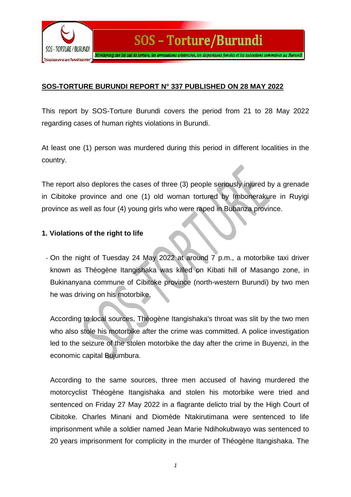

## **SOS-TORTURE BURUNDI REPORT N° 337 PUBLISHED ON 28 MAY 2022**

This report by SOS-Torture Burundi covers the period from 21 to 28 May 2022 regarding cases of human rights violations in Burundi.

At least one (1) person was murdered during this period in different localities in the country.

The report also deplores the cases of three (3) people seriously injured by a grenade in Cibitoke province and one (1) old woman tortured by Imbonerakure in Ruyigi province as well as four (4) young girls who were raped in Bubanza province.

## **1. Violations of the right to life**

- On the night of Tuesday 24 May 2022 at around 7 p.m., a motorbike taxi driver known as Théogène Itangishaka was killed on Kibati hill of Masango zone, in Bukinanyana commune of Cibitoke province (north-western Burundi) by two men he was driving on his motorbike.

According to local sources, Théogène Itangishaka's throat was slit by the two men who also stole his motorbike after the crime was committed. A police investigation led to the seizure of the stolen motorbike the day after the crime in Buyenzi, in the economic capital Bujumbura.

According to the same sources, three men accused of having murdered the motorcyclist Théogène Itangishaka and stolen his motorbike were tried and sentenced on Friday 27 May 2022 in a flagrante delicto trial by the High Court of Cibitoke. Charles Minani and Diomède Ntakirutimana were sentenced to life imprisonment while a soldier named Jean Marie Ndihokubwayo was sentenced to 20 years imprisonment for complicity in the murder of Théogène Itangishaka. The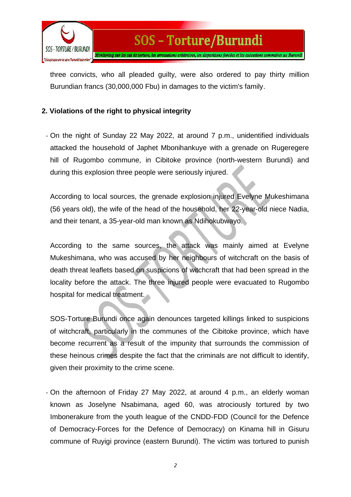

three convicts, who all pleaded guilty, were also ordered to pay thirty million Burundian francs (30,000,000 Fbu) in damages to the victim's family.

## **2. Violations of the right to physical integrity**

- On the night of Sunday 22 May 2022, at around 7 p.m., unidentified individuals attacked the household of Japhet Mbonihankuye with a grenade on Rugeregere hill of Rugombo commune, in Cibitoke province (north-western Burundi) and during this explosion three people were seriously injured.

According to local sources, the grenade explosion injured Evelyne Mukeshimana (56 years old), the wife of the head of the household, her 22-year-old niece Nadia, and their tenant, a 35-year-old man known as Ndihokubwayo.

According to the same sources, the attack was mainly aimed at Evelyne Mukeshimana, who was accused by her neighbours of witchcraft on the basis of death threat leaflets based on suspicions of witchcraft that had been spread in the locality before the attack. The three injured people were evacuated to Rugombo hospital for medical treatment.

SOS-Torture Burundi once again denounces targeted killings linked to suspicions of witchcraft, particularly in the communes of the Cibitoke province, which have become recurrent as a result of the impunity that surrounds the commission of these heinous crimes despite the fact that the criminals are not difficult to identify, given their proximity to the crime scene.

- On the afternoon of Friday 27 May 2022, at around 4 p.m., an elderly woman known as Joselyne Nsabimana, aged 60, was atrociously tortured by two Imbonerakure from the youth league of the CNDD-FDD (Council for the Defence of Democracy-Forces for the Defence of Democracy) on Kinama hill in Gisuru commune of Ruyigi province (eastern Burundi). The victim was tortured to punish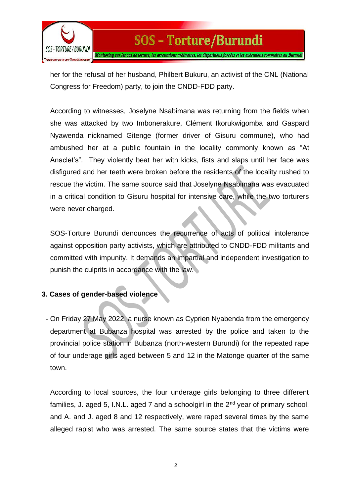

her for the refusal of her husband, Philbert Bukuru, an activist of the CNL (National Congress for Freedom) party, to join the CNDD-FDD party.

According to witnesses, Joselyne Nsabimana was returning from the fields when she was attacked by two Imbonerakure, Clément Ikorukwigomba and Gaspard Nyawenda nicknamed Gitenge (former driver of Gisuru commune), who had ambushed her at a public fountain in the locality commonly known as "At Anaclet's". They violently beat her with kicks, fists and slaps until her face was disfigured and her teeth were broken before the residents of the locality rushed to rescue the victim. The same source said that Joselyne Nsabimana was evacuated in a critical condition to Gisuru hospital for intensive care, while the two torturers were never charged.

SOS-Torture Burundi denounces the recurrence of acts of political intolerance against opposition party activists, which are attributed to CNDD-FDD militants and committed with impunity. It demands an impartial and independent investigation to punish the culprits in accordance with the law.

## **3. Cases of gender-based violence**

- On Friday 27 May 2022, a nurse known as Cyprien Nyabenda from the emergency department at Bubanza hospital was arrested by the police and taken to the provincial police station in Bubanza (north-western Burundi) for the repeated rape of four underage girls aged between 5 and 12 in the Matonge quarter of the same town.

According to local sources, the four underage girls belonging to three different families, J. aged 5, I.N.L. aged 7 and a schoolgirl in the  $2<sup>nd</sup>$  year of primary school, and A. and J. aged 8 and 12 respectively, were raped several times by the same alleged rapist who was arrested. The same source states that the victims were